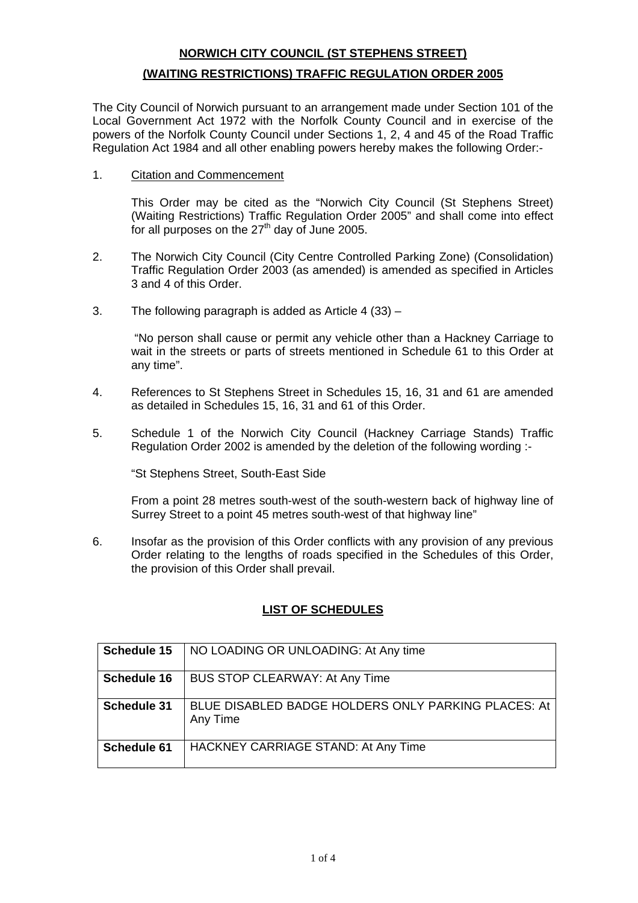# **NORWICH CITY COUNCIL (ST STEPHENS STREET) (WAITING RESTRICTIONS) TRAFFIC REGULATION ORDER 2005**

The City Council of Norwich pursuant to an arrangement made under Section 101 of the Local Government Act 1972 with the Norfolk County Council and in exercise of the powers of the Norfolk County Council under Sections 1, 2, 4 and 45 of the Road Traffic Regulation Act 1984 and all other enabling powers hereby makes the following Order:-

#### 1. Citation and Commencement

This Order may be cited as the "Norwich City Council (St Stephens Street) (Waiting Restrictions) Traffic Regulation Order 2005" and shall come into effect for all purposes on the  $27<sup>th</sup>$  day of June 2005.

- 2. The Norwich City Council (City Centre Controlled Parking Zone) (Consolidation) Traffic Regulation Order 2003 (as amended) is amended as specified in Articles 3 and 4 of this Order.
- 3. The following paragraph is added as Article 4 (33) –

 "No person shall cause or permit any vehicle other than a Hackney Carriage to wait in the streets or parts of streets mentioned in Schedule 61 to this Order at any time".

- 4. References to St Stephens Street in Schedules 15, 16, 31 and 61 are amended as detailed in Schedules 15, 16, 31 and 61 of this Order.
- 5. Schedule 1 of the Norwich City Council (Hackney Carriage Stands) Traffic Regulation Order 2002 is amended by the deletion of the following wording :-

"St Stephens Street, South-East Side

From a point 28 metres south-west of the south-western back of highway line of Surrey Street to a point 45 metres south-west of that highway line"

6. Insofar as the provision of this Order conflicts with any provision of any previous Order relating to the lengths of roads specified in the Schedules of this Order, the provision of this Order shall prevail.

## **LIST OF SCHEDULES**

| <b>Schedule 15</b> | NO LOADING OR UNLOADING: At Any time                            |
|--------------------|-----------------------------------------------------------------|
| <b>Schedule 16</b> | BUS STOP CLEARWAY: At Any Time                                  |
| <b>Schedule 31</b> | BLUE DISABLED BADGE HOLDERS ONLY PARKING PLACES: At<br>Any Time |
| Schedule 61        | HACKNEY CARRIAGE STAND: At Any Time                             |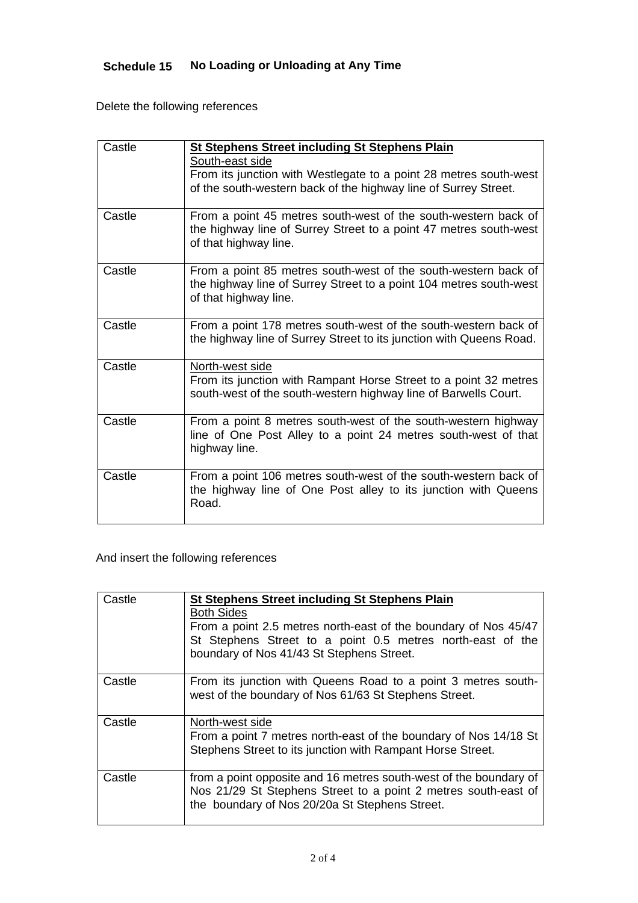# **Schedule 15 No Loading or Unloading at Any Time**

Delete the following references

| Castle | <b>St Stephens Street including St Stephens Plain</b>                                                                             |
|--------|-----------------------------------------------------------------------------------------------------------------------------------|
|        | South-east side                                                                                                                   |
|        | From its junction with Westlegate to a point 28 metres south-west                                                                 |
|        | of the south-western back of the highway line of Surrey Street.                                                                   |
|        |                                                                                                                                   |
| Castle | From a point 45 metres south-west of the south-western back of                                                                    |
|        | the highway line of Surrey Street to a point 47 metres south-west                                                                 |
|        | of that highway line.                                                                                                             |
|        |                                                                                                                                   |
| Castle | From a point 85 metres south-west of the south-western back of                                                                    |
|        | the highway line of Surrey Street to a point 104 metres south-west                                                                |
|        | of that highway line.                                                                                                             |
|        |                                                                                                                                   |
| Castle | From a point 178 metres south-west of the south-western back of                                                                   |
|        | the highway line of Surrey Street to its junction with Queens Road.                                                               |
|        |                                                                                                                                   |
| Castle | North-west side                                                                                                                   |
|        | From its junction with Rampant Horse Street to a point 32 metres                                                                  |
|        | south-west of the south-western highway line of Barwells Court.                                                                   |
|        |                                                                                                                                   |
| Castle | From a point 8 metres south-west of the south-western highway                                                                     |
|        | line of One Post Alley to a point 24 metres south-west of that                                                                    |
|        | highway line.                                                                                                                     |
| Castle |                                                                                                                                   |
|        | From a point 106 metres south-west of the south-western back of<br>the highway line of One Post alley to its junction with Queens |
|        | Road.                                                                                                                             |
|        |                                                                                                                                   |

And insert the following references

| Castlel | <b>St Stephens Street including St Stephens Plain</b><br><b>Both Sides</b><br>From a point 2.5 metres north-east of the boundary of Nos 45/47<br>St Stephens Street to a point 0.5 metres north-east of the<br>boundary of Nos 41/43 St Stephens Street. |
|---------|----------------------------------------------------------------------------------------------------------------------------------------------------------------------------------------------------------------------------------------------------------|
| Castle  | From its junction with Queens Road to a point 3 metres south-<br>west of the boundary of Nos 61/63 St Stephens Street.                                                                                                                                   |
| Castle  | North-west side<br>From a point 7 metres north-east of the boundary of Nos 14/18 St<br>Stephens Street to its junction with Rampant Horse Street.                                                                                                        |
| Castle  | from a point opposite and 16 metres south-west of the boundary of<br>Nos 21/29 St Stephens Street to a point 2 metres south-east of<br>the boundary of Nos 20/20a St Stephens Street.                                                                    |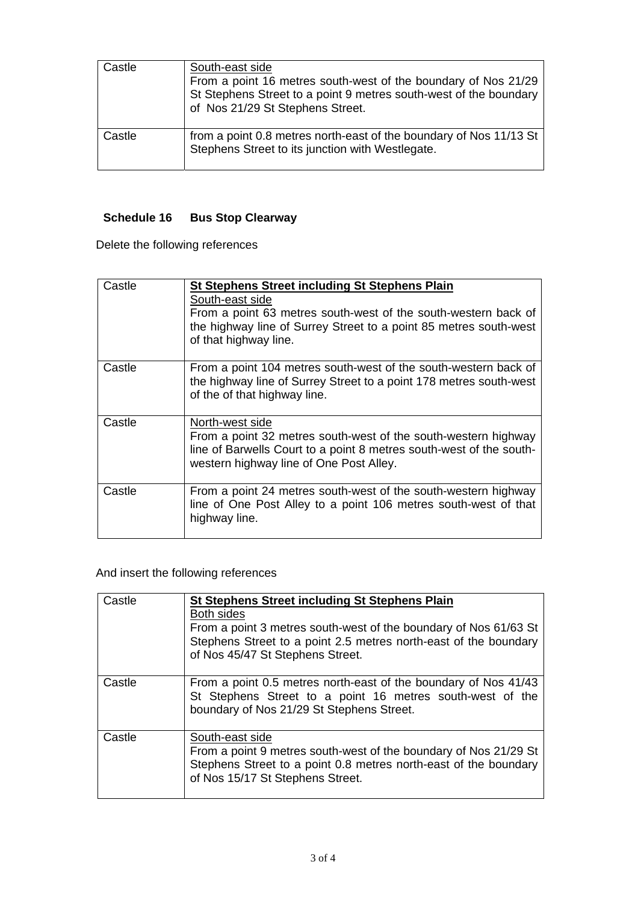| Castle | South-east side<br>From a point 16 metres south-west of the boundary of Nos 21/29<br>St Stephens Street to a point 9 metres south-west of the boundary<br>of Nos 21/29 St Stephens Street. |
|--------|--------------------------------------------------------------------------------------------------------------------------------------------------------------------------------------------|
| Castle | from a point 0.8 metres north-east of the boundary of Nos 11/13 St<br>Stephens Street to its junction with Westlegate.                                                                     |

## **Schedule 16 Bus Stop Clearway**

Delete the following references

| Castle | <b>St Stephens Street including St Stephens Plain</b><br>South-east side<br>From a point 63 metres south-west of the south-western back of<br>the highway line of Surrey Street to a point 85 metres south-west<br>of that highway line. |
|--------|------------------------------------------------------------------------------------------------------------------------------------------------------------------------------------------------------------------------------------------|
| Castle | From a point 104 metres south-west of the south-western back of<br>the highway line of Surrey Street to a point 178 metres south-west<br>of the of that highway line.                                                                    |
| Castle | North-west side<br>From a point 32 metres south-west of the south-western highway<br>line of Barwells Court to a point 8 metres south-west of the south-<br>western highway line of One Post Alley.                                      |
| Castle | From a point 24 metres south-west of the south-western highway<br>line of One Post Alley to a point 106 metres south-west of that<br>highway line.                                                                                       |

# And insert the following references

| Castle | <b>St Stephens Street including St Stephens Plain</b>                                                                                                                     |
|--------|---------------------------------------------------------------------------------------------------------------------------------------------------------------------------|
|        | <b>Both sides</b>                                                                                                                                                         |
|        | From a point 3 metres south-west of the boundary of Nos 61/63 St<br>Stephens Street to a point 2.5 metres north-east of the boundary<br>of Nos 45/47 St Stephens Street.  |
| Castle | From a point 0.5 metres north-east of the boundary of Nos 41/43<br>St Stephens Street to a point 16 metres south-west of the<br>boundary of Nos 21/29 St Stephens Street. |
| Castle | South-east side                                                                                                                                                           |
|        | From a point 9 metres south-west of the boundary of Nos 21/29 St                                                                                                          |
|        | Stephens Street to a point 0.8 metres north-east of the boundary<br>of Nos 15/17 St Stephens Street.                                                                      |